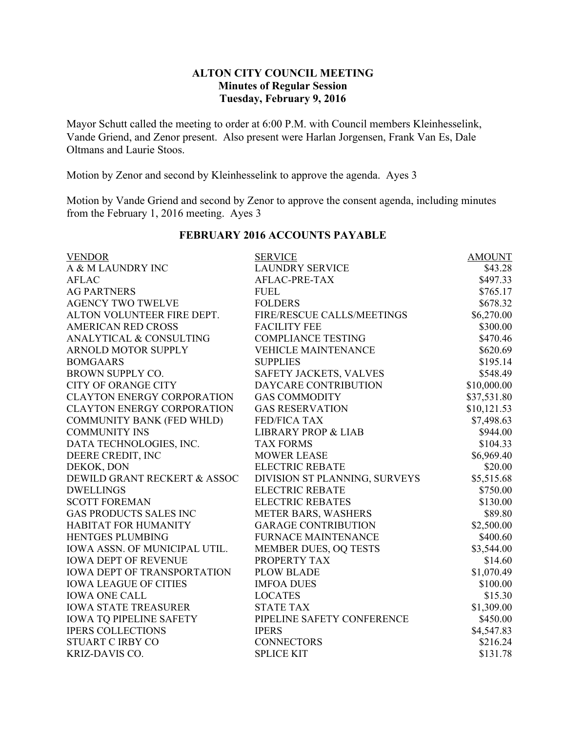## **ALTON CITY COUNCIL MEETING Minutes of Regular Session Tuesday, February 9, 2016**

Mayor Schutt called the meeting to order at 6:00 P.M. with Council members Kleinhesselink, Vande Griend, and Zenor present. Also present were Harlan Jorgensen, Frank Van Es, Dale Oltmans and Laurie Stoos.

Motion by Zenor and second by Kleinhesselink to approve the agenda. Ayes 3

Motion by Vande Griend and second by Zenor to approve the consent agenda, including minutes from the February 1, 2016 meeting. Ayes 3

| <b>VENDOR</b>                      | <b>SERVICE</b>                 | <b>AMOUNT</b> |
|------------------------------------|--------------------------------|---------------|
| A & M LAUNDRY INC                  | <b>LAUNDRY SERVICE</b>         | \$43.28       |
| <b>AFLAC</b>                       | AFLAC-PRE-TAX                  | \$497.33      |
| <b>AG PARTNERS</b>                 | <b>FUEL</b>                    | \$765.17      |
| <b>AGENCY TWO TWELVE</b>           | <b>FOLDERS</b>                 | \$678.32      |
| ALTON VOLUNTEER FIRE DEPT.         | FIRE/RESCUE CALLS/MEETINGS     | \$6,270.00    |
| <b>AMERICAN RED CROSS</b>          | <b>FACILITY FEE</b>            | \$300.00      |
| ANALYTICAL & CONSULTING            | <b>COMPLIANCE TESTING</b>      | \$470.46      |
| ARNOLD MOTOR SUPPLY                | <b>VEHICLE MAINTENANCE</b>     | \$620.69      |
| <b>BOMGAARS</b>                    | <b>SUPPLIES</b>                | \$195.14      |
| <b>BROWN SUPPLY CO.</b>            | SAFETY JACKETS, VALVES         | \$548.49      |
| <b>CITY OF ORANGE CITY</b>         | DAYCARE CONTRIBUTION           | \$10,000.00   |
| <b>CLAYTON ENERGY CORPORATION</b>  | <b>GAS COMMODITY</b>           | \$37,531.80   |
| <b>CLAYTON ENERGY CORPORATION</b>  | <b>GAS RESERVATION</b>         | \$10,121.53   |
| <b>COMMUNITY BANK (FED WHLD)</b>   | <b>FED/FICA TAX</b>            | \$7,498.63    |
| <b>COMMUNITY INS</b>               | <b>LIBRARY PROP &amp; LIAB</b> | \$944.00      |
| DATA TECHNOLOGIES, INC.            | <b>TAX FORMS</b>               | \$104.33      |
| DEERE CREDIT, INC                  | <b>MOWER LEASE</b>             | \$6,969.40    |
| DEKOK, DON                         | <b>ELECTRIC REBATE</b>         | \$20.00       |
| DEWILD GRANT RECKERT & ASSOC       | DIVISION ST PLANNING, SURVEYS  | \$5,515.68    |
| <b>DWELLINGS</b>                   | <b>ELECTRIC REBATE</b>         | \$750.00      |
| <b>SCOTT FOREMAN</b>               | <b>ELECTRIC REBATES</b>        | \$130.00      |
| <b>GAS PRODUCTS SALES INC</b>      | METER BARS, WASHERS            | \$89.80       |
| <b>HABITAT FOR HUMANITY</b>        | <b>GARAGE CONTRIBUTION</b>     | \$2,500.00    |
| <b>HENTGES PLUMBING</b>            | <b>FURNACE MAINTENANCE</b>     | \$400.60      |
| IOWA ASSN. OF MUNICIPAL UTIL.      | MEMBER DUES, OQ TESTS          | \$3,544.00    |
| <b>IOWA DEPT OF REVENUE</b>        | PROPERTY TAX                   | \$14.60       |
| <b>IOWA DEPT OF TRANSPORTATION</b> | <b>PLOW BLADE</b>              | \$1,070.49    |
| <b>IOWA LEAGUE OF CITIES</b>       | <b>IMFOA DUES</b>              | \$100.00      |
| <b>IOWA ONE CALL</b>               | <b>LOCATES</b>                 | \$15.30       |
| <b>IOWA STATE TREASURER</b>        | <b>STATE TAX</b>               | \$1,309.00    |
| <b>IOWA TQ PIPELINE SAFETY</b>     | PIPELINE SAFETY CONFERENCE     | \$450.00      |
| <b>IPERS COLLECTIONS</b>           | <b>IPERS</b>                   | \$4,547.83    |
| <b>STUART C IRBY CO</b>            | <b>CONNECTORS</b>              | \$216.24      |
| KRIZ-DAVIS CO.                     | <b>SPLICE KIT</b>              | \$131.78      |

## **FEBRUARY 2016 ACCOUNTS PAYABLE**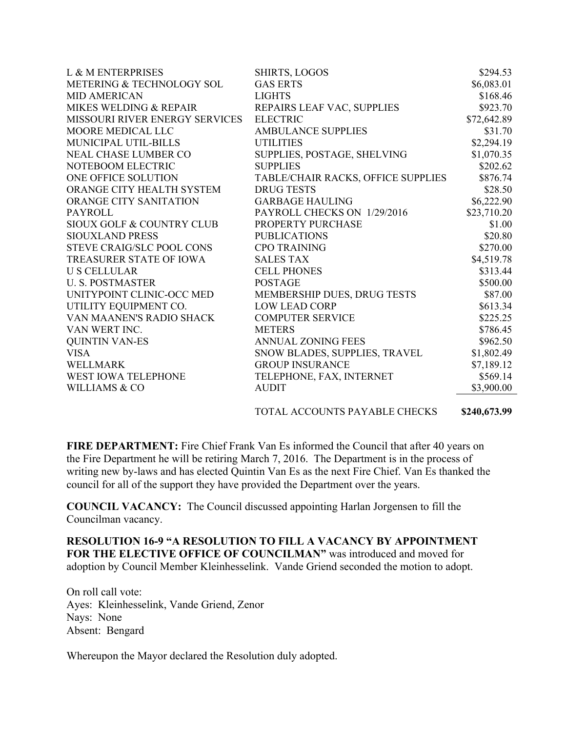| L & M ENTERPRISES                | SHIRTS, LOGOS                      | \$294.53    |
|----------------------------------|------------------------------------|-------------|
| METERING & TECHNOLOGY SOL        | <b>GAS ERTS</b>                    | \$6,083.01  |
| <b>MID AMERICAN</b>              | <b>LIGHTS</b>                      | \$168.46    |
| MIKES WELDING & REPAIR           | REPAIRS LEAF VAC, SUPPLIES         | \$923.70    |
| MISSOURI RIVER ENERGY SERVICES   | <b>ELECTRIC</b>                    | \$72,642.89 |
| MOORE MEDICAL LLC                | <b>AMBULANCE SUPPLIES</b>          | \$31.70     |
| MUNICIPAL UTIL-BILLS             | <b>UTILITIES</b>                   | \$2,294.19  |
| <b>NEAL CHASE LUMBER CO</b>      | SUPPLIES, POSTAGE, SHELVING        | \$1,070.35  |
| NOTEBOOM ELECTRIC                | <b>SUPPLIES</b>                    | \$202.62    |
| ONE OFFICE SOLUTION              | TABLE/CHAIR RACKS, OFFICE SUPPLIES | \$876.74    |
| ORANGE CITY HEALTH SYSTEM        | <b>DRUG TESTS</b>                  | \$28.50     |
| ORANGE CITY SANITATION           | <b>GARBAGE HAULING</b>             | \$6,222.90  |
| <b>PAYROLL</b>                   | PAYROLL CHECKS ON 1/29/2016        | \$23,710.20 |
| SIOUX GOLF & COUNTRY CLUB        | PROPERTY PURCHASE                  | \$1.00      |
| <b>SIOUXLAND PRESS</b>           | <b>PUBLICATIONS</b>                | \$20.80     |
| <b>STEVE CRAIG/SLC POOL CONS</b> | <b>CPO TRAINING</b>                | \$270.00    |
| <b>TREASURER STATE OF IOWA</b>   | <b>SALES TAX</b>                   | \$4,519.78  |
| <b>US CELLULAR</b>               | <b>CELL PHONES</b>                 | \$313.44    |
| <b>U. S. POSTMASTER</b>          | <b>POSTAGE</b>                     | \$500.00    |
| UNITYPOINT CLINIC-OCC MED        | MEMBERSHIP DUES, DRUG TESTS        | \$87.00     |
| UTILITY EQUIPMENT CO.            | <b>LOW LEAD CORP</b>               | \$613.34    |
| VAN MAANEN'S RADIO SHACK         | <b>COMPUTER SERVICE</b>            | \$225.25    |
| VAN WERT INC.                    | <b>METERS</b>                      | \$786.45    |
| <b>QUINTIN VAN-ES</b>            | <b>ANNUAL ZONING FEES</b>          | \$962.50    |
| <b>VISA</b>                      | SNOW BLADES, SUPPLIES, TRAVEL      | \$1,802.49  |
| <b>WELLMARK</b>                  | <b>GROUP INSURANCE</b>             | \$7,189.12  |
| <b>WEST IOWA TELEPHONE</b>       | TELEPHONE, FAX, INTERNET           | \$569.14    |
| WILLIAMS & CO                    | <b>AUDIT</b>                       | \$3,900.00  |
|                                  |                                    |             |

TOTAL ACCOUNTS PAYABLE CHECKS **\$240,673.99**

**FIRE DEPARTMENT:** Fire Chief Frank Van Es informed the Council that after 40 years on the Fire Department he will be retiring March 7, 2016. The Department is in the process of writing new by-laws and has elected Quintin Van Es as the next Fire Chief. Van Es thanked the council for all of the support they have provided the Department over the years.

**COUNCIL VACANCY:** The Council discussed appointing Harlan Jorgensen to fill the Councilman vacancy.

**RESOLUTION 16-9 "A RESOLUTION TO FILL A VACANCY BY APPOINTMENT**  FOR THE ELECTIVE OFFICE OF COUNCILMAN" was introduced and moved for adoption by Council Member Kleinhesselink. Vande Griend seconded the motion to adopt.

On roll call vote: Ayes: Kleinhesselink, Vande Griend, Zenor Nays: None Absent: Bengard

Whereupon the Mayor declared the Resolution duly adopted.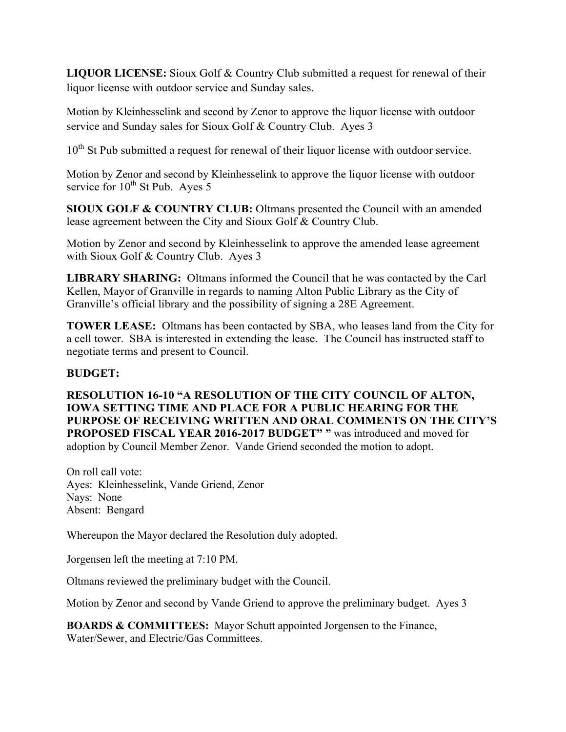**LIQUOR LICENSE:** Sioux Golf & Country Club submitted a request for renewal of their liquor license with outdoor service and Sunday sales.

Motion by Kleinhesselink and second by Zenor to approve the liquor license with outdoor service and Sunday sales for Sioux Golf & Country Club. Ayes 3

10<sup>th</sup> St Pub submitted a request for renewal of their liquor license with outdoor service.

Motion by Zenor and second by Kleinhesselink to approve the liquor license with outdoor service for  $10^{th}$  St Pub. Ayes 5

**SIOUX GOLF & COUNTRY CLUB:** Oltmans presented the Council with an amended lease agreement between the City and Sioux Golf & Country Club.

Motion by Zenor and second by Kleinhesselink to approve the amended lease agreement with Sioux Golf & Country Club. Ayes 3

**LIBRARY SHARING:** Oltmans informed the Council that he was contacted by the Carl Kellen, Mayor of Granville in regards to naming Alton Public Library as the City of Granville's official library and the possibility of signing a 28E Agreement.

**TOWER LEASE:** Oltmans has been contacted by SBA, who leases land from the City for a cell tower. SBA is interested in extending the lease. The Council has instructed staff to negotiate terms and present to Council.

# **BUDGET:**

**RESOLUTION 16-10 "A RESOLUTION OF THE CITY COUNCIL OF ALTON, IOWA SETTING TIME AND PLACE FOR A PUBLIC HEARING FOR THE PURPOSE OF RECEIVING WRITTEN AND ORAL COMMENTS ON THE CITY'S PROPOSED FISCAL YEAR 2016-2017 BUDGET"** " was introduced and moved for adoption by Council Member Zenor. Vande Griend seconded the motion to adopt.

On roll call vote: Ayes: Kleinhesselink, Vande Griend, Zenor Nays: None Absent: Bengard

Whereupon the Mayor declared the Resolution duly adopted.

Jorgensen left the meeting at 7:10 PM.

Oltmans reviewed the preliminary budget with the Council.

Motion by Zenor and second by Vande Griend to approve the preliminary budget. Ayes 3

**BOARDS & COMMITTEES:** Mayor Schutt appointed Jorgensen to the Finance, Water/Sewer, and Electric/Gas Committees.